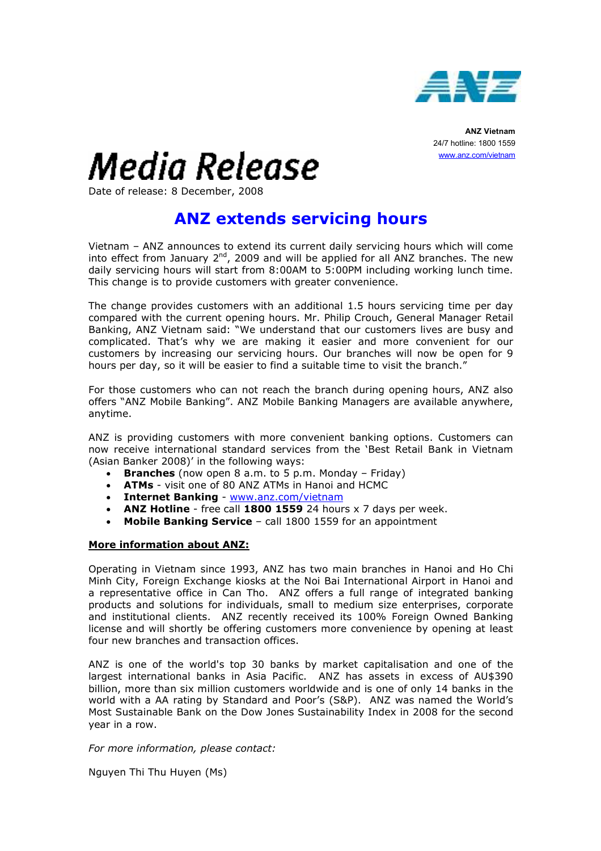

ANZ Vietnam 24/7 hotline: 1800 1559 www.anz.com/vietnam

## Media Release

Date of release: 8 December, 2008

## ANZ extends servicing hours

Vietnam – ANZ announces to extend its current daily servicing hours which will come into effect from January  $2^{nd}$ , 2009 and will be applied for all ANZ branches. The new daily servicing hours will start from 8:00AM to 5:00PM including working lunch time. This change is to provide customers with greater convenience.

The change provides customers with an additional 1.5 hours servicing time per day compared with the current opening hours. Mr. Philip Crouch, General Manager Retail Banking, ANZ Vietnam said: "We understand that our customers lives are busy and complicated. That's why we are making it easier and more convenient for our customers by increasing our servicing hours. Our branches will now be open for 9 hours per day, so it will be easier to find a suitable time to visit the branch."

For those customers who can not reach the branch during opening hours, ANZ also offers "ANZ Mobile Banking". ANZ Mobile Banking Managers are available anywhere, anytime.

ANZ is providing customers with more convenient banking options. Customers can now receive international standard services from the 'Best Retail Bank in Vietnam (Asian Banker 2008)' in the following ways:

- Branches (now open  $8$  a.m. to  $5$  p.m. Monday Friday)
- ATMs visit one of 80 ANZ ATMs in Hanoi and HCMC
- **Internet Banking www.anz.com/vietnam**
- ANZ Hotline free call 1800 1559 24 hours x 7 days per week.
- Mobile Banking Service call 1800 1559 for an appointment

## More information about ANZ:

Operating in Vietnam since 1993, ANZ has two main branches in Hanoi and Ho Chi Minh City, Foreign Exchange kiosks at the Noi Bai International Airport in Hanoi and a representative office in Can Tho. ANZ offers a full range of integrated banking products and solutions for individuals, small to medium size enterprises, corporate and institutional clients. ANZ recently received its 100% Foreign Owned Banking license and will shortly be offering customers more convenience by opening at least four new branches and transaction offices.

ANZ is one of the world's top 30 banks by market capitalisation and one of the largest international banks in Asia Pacific. ANZ has assets in excess of AU\$390 billion, more than six million customers worldwide and is one of only 14 banks in the world with a AA rating by Standard and Poor's (S&P). ANZ was named the World's Most Sustainable Bank on the Dow Jones Sustainability Index in 2008 for the second year in a row.

For more information, please contact:

Nguyen Thi Thu Huyen (Ms)